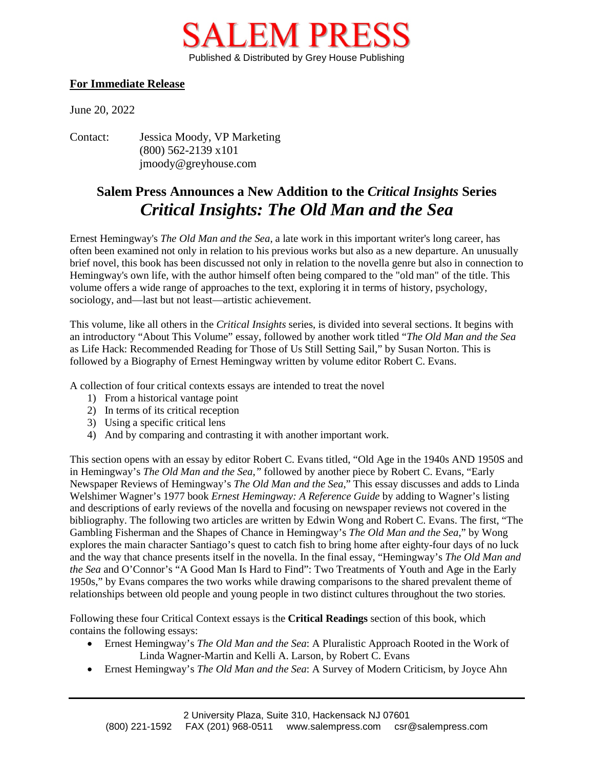

## **For Immediate Release**

June 20, 2022

Contact: Jessica Moody, VP Marketing (800) 562-2139 x101 jmoody@greyhouse.com

## **Salem Press Announces a New Addition to the** *Critical Insights* **Series** *Critical Insights: The Old Man and the Sea*

Ernest Hemingway's *The Old Man and the Sea*, a late work in this important writer's long career, has often been examined not only in relation to his previous works but also as a new departure. An unusually brief novel, this book has been discussed not only in relation to the novella genre but also in connection to Hemingway's own life, with the author himself often being compared to the "old man" of the title. This volume offers a wide range of approaches to the text, exploring it in terms of history, psychology, sociology, and—last but not least—artistic achievement.

This volume, like all others in the *Critical Insights* series, is divided into several sections. It begins with an introductory "About This Volume" essay, followed by another work titled "*The Old Man and the Sea* as Life Hack: Recommended Reading for Those of Us Still Setting Sail," by Susan Norton. This is followed by a Biography of Ernest Hemingway written by volume editor Robert C. Evans.

A collection of four critical contexts essays are intended to treat the novel

- 1) From a historical vantage point
- 2) In terms of its critical reception
- 3) Using a specific critical lens
- 4) And by comparing and contrasting it with another important work.

This section opens with an essay by editor Robert C. Evans titled, "Old Age in the 1940s AND 1950S and in Hemingway's *The Old Man and the Sea*,*"* followed by another piece by Robert C. Evans, "Early Newspaper Reviews of Hemingway's *The Old Man and the Sea*," This essay discusses and adds to Linda Welshimer Wagner's 1977 book *Ernest Hemingway: A Reference Guide* by adding to Wagner's listing and descriptions of early reviews of the novella and focusing on newspaper reviews not covered in the bibliography. The following two articles are written by Edwin Wong and Robert C. Evans. The first, "The Gambling Fisherman and the Shapes of Chance in Hemingway's *The Old Man and the Sea*," by Wong explores the main character Santiago's quest to catch fish to bring home after eighty-four days of no luck and the way that chance presents itself in the novella. In the final essay, "Hemingway's *The Old Man and the Sea* and O'Connor's "A Good Man Is Hard to Find": Two Treatments of Youth and Age in the Early 1950s," by Evans compares the two works while drawing comparisons to the shared prevalent theme of relationships between old people and young people in two distinct cultures throughout the two stories*.* 

Following these four Critical Context essays is the **Critical Readings** section of this book, which contains the following essays:

- Ernest Hemingway's *The Old Man and the Sea*: A Pluralistic Approach Rooted in the Work of Linda Wagner-Martin and Kelli A. Larson, by Robert C. Evans
- Ernest Hemingway's *The Old Man and the Sea*: A Survey of Modern Criticism, by Joyce Ahn